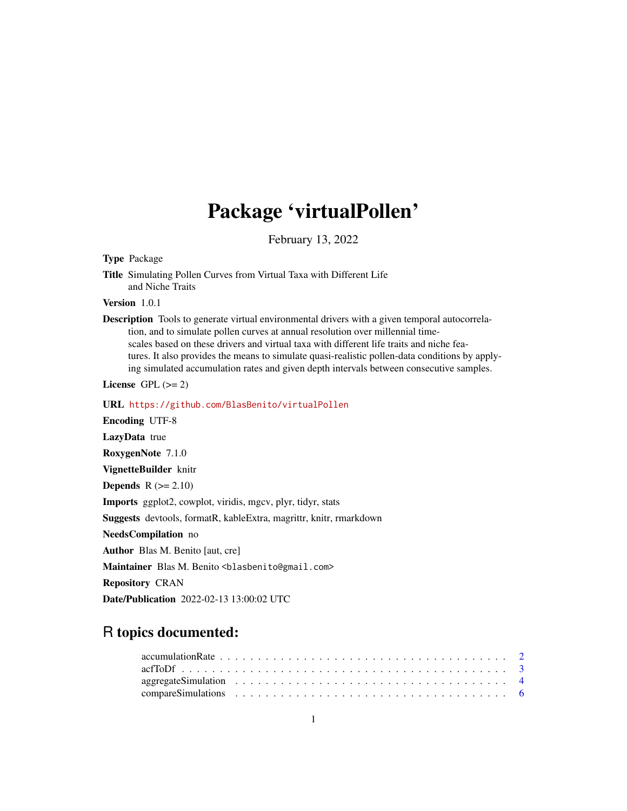# Package 'virtualPollen'

February 13, 2022

<span id="page-0-0"></span>Type Package

Title Simulating Pollen Curves from Virtual Taxa with Different Life and Niche Traits

Version 1.0.1

Description Tools to generate virtual environmental drivers with a given temporal autocorrelation, and to simulate pollen curves at annual resolution over millennial timescales based on these drivers and virtual taxa with different life traits and niche features. It also provides the means to simulate quasi-realistic pollen-data conditions by applying simulated accumulation rates and given depth intervals between consecutive samples.

License GPL  $(>= 2)$ 

URL <https://github.com/BlasBenito/virtualPollen>

Encoding UTF-8 LazyData true RoxygenNote 7.1.0 VignetteBuilder knitr **Depends**  $R$  ( $>= 2.10$ ) Imports ggplot2, cowplot, viridis, mgcv, plyr, tidyr, stats Suggests devtools, formatR, kableExtra, magrittr, knitr, rmarkdown NeedsCompilation no Author Blas M. Benito [aut, cre] Maintainer Blas M. Benito <br />blasbenito@gmail.com> Repository CRAN Date/Publication 2022-02-13 13:00:02 UTC

# R topics documented: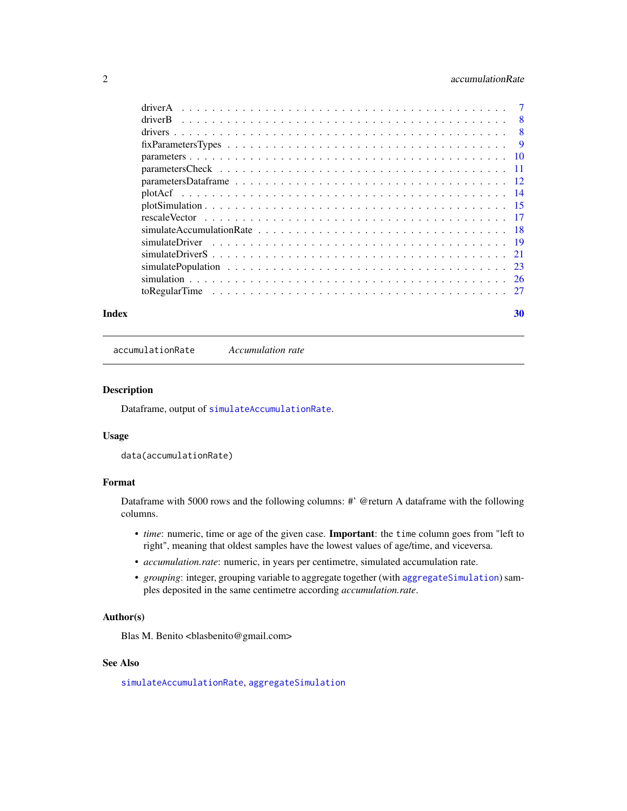# <span id="page-1-0"></span>2 accumulationRate

| $\overline{8}$ |
|----------------|
| - 8            |
| - 9            |
|                |
|                |
|                |
|                |
|                |
|                |
|                |
|                |
|                |
|                |
|                |
|                |
|                |

#### $\bf 30$  $\bf 30$

<span id="page-1-1"></span>accumulationRate *Accumulation rate*

# Description

Dataframe, output of [simulateAccumulationRate](#page-17-1).

# Usage

data(accumulationRate)

# Format

Dataframe with 5000 rows and the following columns: #' @return A dataframe with the following columns.

- *time*: numeric, time or age of the given case. Important: the time column goes from "left to right", meaning that oldest samples have the lowest values of age/time, and viceversa.
- *accumulation.rate*: numeric, in years per centimetre, simulated accumulation rate.
- *grouping*: integer, grouping variable to aggregate together (with [aggregateSimulation](#page-3-1)) samples deposited in the same centimetre according *accumulation.rate*.

#### Author(s)

Blas M. Benito <br/> <br/>blasbenito@gmail.com>

#### See Also

[simulateAccumulationRate](#page-17-1), [aggregateSimulation](#page-3-1)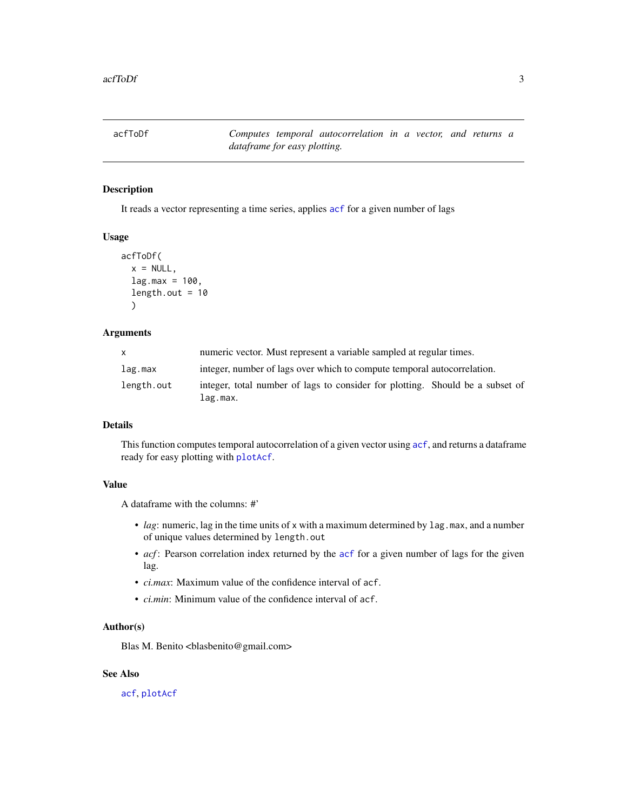<span id="page-2-1"></span><span id="page-2-0"></span>acfToDf *Computes temporal autocorrelation in a vector, and returns a dataframe for easy plotting.*

# Description

It reads a vector representing a time series, applies [acf](#page-0-0) for a given number of lags

# Usage

```
acfToDf(
 x = NULL,lag.max = 100,length.out = 10)
```
# Arguments

| $\mathsf{x}$ | numeric vector. Must represent a variable sampled at regular times.                       |  |
|--------------|-------------------------------------------------------------------------------------------|--|
| lag.max      | integer, number of lags over which to compute temporal autocorrelation.                   |  |
| length.out   | integer, total number of lags to consider for plotting. Should be a subset of<br>lag.max. |  |

# Details

This function computes temporal autocorrelation of a given vector using  $\alpha$ cf, and returns a dataframe ready for easy plotting with [plotAcf](#page-13-1).

# Value

A dataframe with the columns: #'

- *lag*: numeric, lag in the time units of x with a maximum determined by lag.max, and a number of unique values determined by length.out
- *[acf](#page-0-0)*: Pearson correlation index returned by the acf for a given number of lags for the given lag.
- *ci.max*: Maximum value of the confidence interval of acf.
- *ci.min*: Minimum value of the confidence interval of acf.

#### Author(s)

Blas M. Benito <br/> <br/>blasbenito@gmail.com>

# See Also

[acf](#page-0-0), [plotAcf](#page-13-1)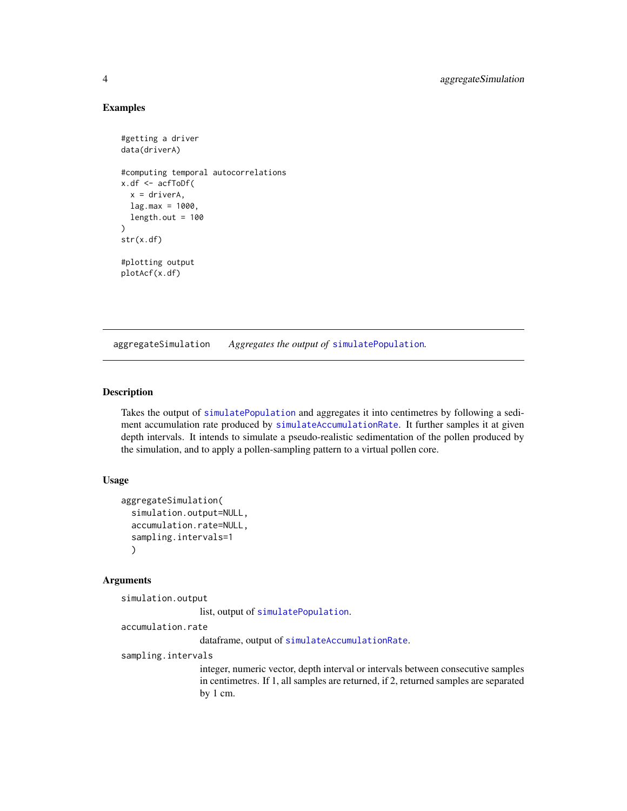#### Examples

```
#getting a driver
data(driverA)
#computing temporal autocorrelations
x.df <- acfToDf(
 x = driverA,
 lag.max = 1000,length.out = 100)
str(x.df)
#plotting output
plotAcf(x.df)
```
<span id="page-3-1"></span>aggregateSimulation *Aggregates the output of* [simulatePopulation](#page-22-1)*.*

## Description

Takes the output of [simulatePopulation](#page-22-1) and aggregates it into centimetres by following a sediment accumulation rate produced by [simulateAccumulationRate](#page-17-1). It further samples it at given depth intervals. It intends to simulate a pseudo-realistic sedimentation of the pollen produced by the simulation, and to apply a pollen-sampling pattern to a virtual pollen core.

#### Usage

```
aggregateSimulation(
  simulation.output=NULL,
  accumulation.rate=NULL,
  sampling.intervals=1
  )
```
#### Arguments

simulation.output

list, output of [simulatePopulation](#page-22-1).

accumulation.rate

dataframe, output of [simulateAccumulationRate](#page-17-1).

sampling.intervals

integer, numeric vector, depth interval or intervals between consecutive samples in centimetres. If 1, all samples are returned, if 2, returned samples are separated by 1 cm.

<span id="page-3-0"></span>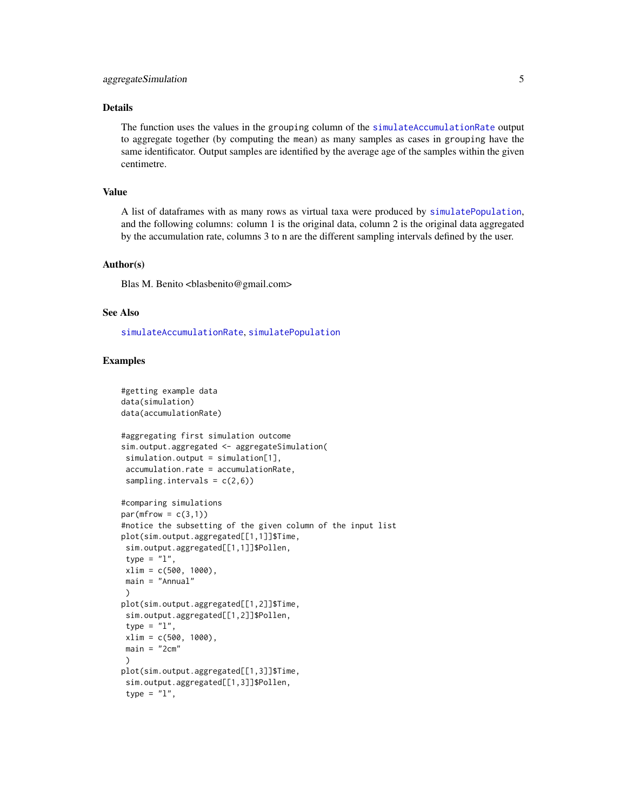# <span id="page-4-0"></span>Details

The function uses the values in the grouping column of the [simulateAccumulationRate](#page-17-1) output to aggregate together (by computing the mean) as many samples as cases in grouping have the same identificator. Output samples are identified by the average age of the samples within the given centimetre.

# Value

A list of dataframes with as many rows as virtual taxa were produced by [simulatePopulation](#page-22-1), and the following columns: column 1 is the original data, column 2 is the original data aggregated by the accumulation rate, columns 3 to n are the different sampling intervals defined by the user.

#### Author(s)

Blas M. Benito <br/> <br/> <br/> <br/> <br/> <br/> <br/> <br/> <br/> <br/> <br/> <br/> <br/> <br/> <br/> <br/> <br/> <br/><br/><br/><br/><<br/><<br/>s<br/>M. Benito <br/><br/> $\Theta$ <br/>gmail.com>

# See Also

[simulateAccumulationRate](#page-17-1), [simulatePopulation](#page-22-1)

# Examples

```
#getting example data
data(simulation)
data(accumulationRate)
#aggregating first simulation outcome
sim.output.aggregated <- aggregateSimulation(
simulation.output = simulation[1],
 accumulation.rate = accumulationRate,
 sampling.intervals = c(2,6))
#comparing simulations
par(mfrow = c(3,1))#notice the subsetting of the given column of the input list
plot(sim.output.aggregated[[1,1]]$Time,
sim.output.aggregated[[1,1]]$Pollen,
type = "l",
xlim = c(500, 1000),
main = "Annual"
\lambdaplot(sim.output.aggregated[[1,2]]$Time,
 sim.output.aggregated[[1,2]]$Pollen,
 type = "1",xlim = c(500, 1000),
main = "2cm"\lambdaplot(sim.output.aggregated[[1,3]]$Time,
sim.output.aggregated[[1,3]]$Pollen,
 type = "1",
```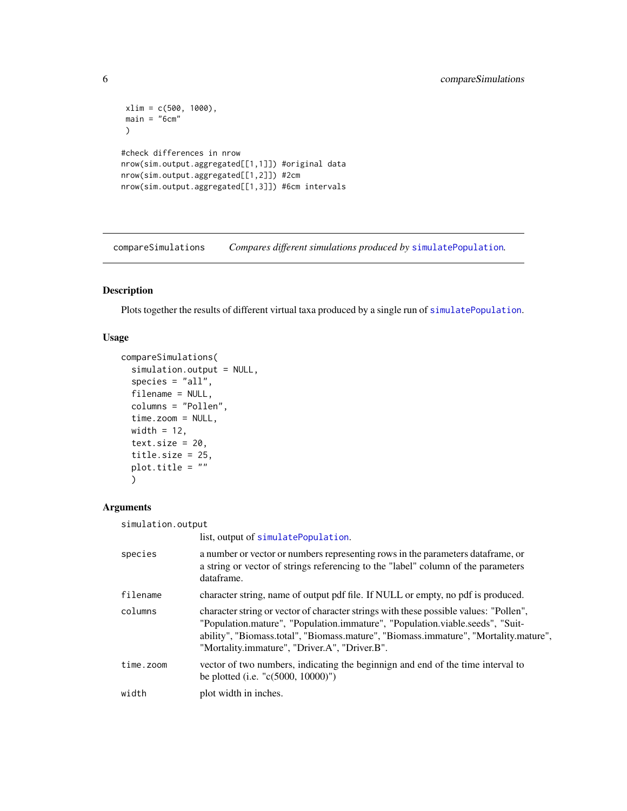```
xlim = c(500, 1000),
main = "6cm")
#check differences in nrow
nrow(sim.output.aggregated[[1,1]]) #original data
nrow(sim.output.aggregated[[1,2]]) #2cm
nrow(sim.output.aggregated[[1,3]]) #6cm intervals
```
<span id="page-5-1"></span>compareSimulations *Compares different simulations produced by* [simulatePopulation](#page-22-1)*.*

# Description

Plots together the results of different virtual taxa produced by a single run of [simulatePopulation](#page-22-1).

# Usage

```
compareSimulations(
  simulation.output = NULL,
  species = "all",
  filename = NULL,
  columns = "Pollen",
  time.zoom = NULL,
 width = 12,
  text.size = 20,
  title.size = 25,
 plot.title = ""
  )
```
# Arguments

| simulation.output |                                                                                                                                                                                                                                                                                                                 |
|-------------------|-----------------------------------------------------------------------------------------------------------------------------------------------------------------------------------------------------------------------------------------------------------------------------------------------------------------|
|                   | list, output of simulatePopulation.                                                                                                                                                                                                                                                                             |
| species           | a number or vector or numbers representing rows in the parameters data frame, or<br>a string or vector of strings referencing to the "label" column of the parameters<br>dataframe.                                                                                                                             |
| filename          | character string, name of output pdf file. If NULL or empty, no pdf is produced.                                                                                                                                                                                                                                |
| columns           | character string or vector of character strings with these possible values: "Pollen",<br>"Population.mature", "Population.immature", "Population.viable.seeds", "Suit-<br>ability", "Biomass.total", "Biomass.mature", "Biomass.immature", "Mortality.mature",<br>"Mortality.immature", "Driver.A", "Driver.B". |
| time.zoom         | vector of two numbers, indicating the beginnign and end of the time interval to<br>be plotted (i.e. "c(5000, 10000)")                                                                                                                                                                                           |
| width             | plot width in inches.                                                                                                                                                                                                                                                                                           |
|                   |                                                                                                                                                                                                                                                                                                                 |

<span id="page-5-0"></span>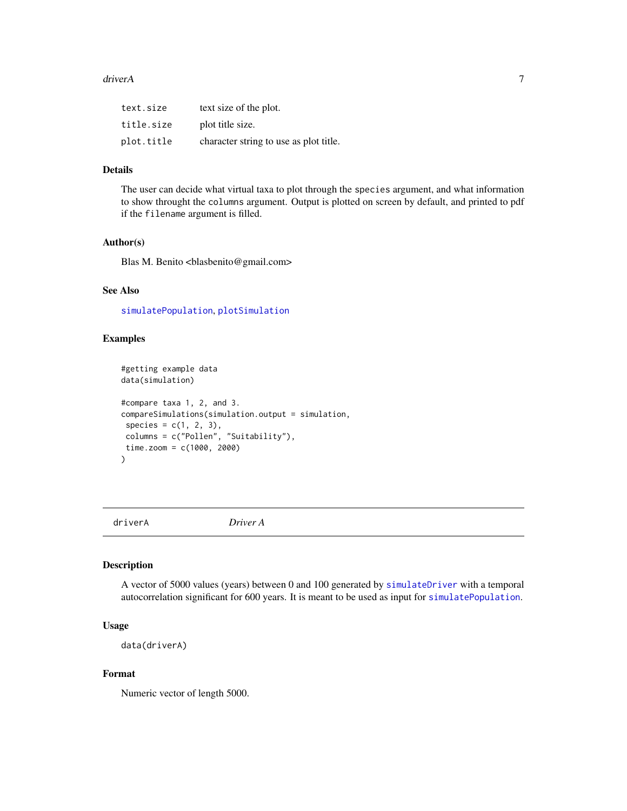#### <span id="page-6-0"></span>driver A and the contract of the contract of the contract of the contract of the contract of the contract of the contract of the contract of the contract of the contract of the contract of the contract of the contract of t

| text.size  | text size of the plot.                 |
|------------|----------------------------------------|
| title.size | plot title size.                       |
| plot.title | character string to use as plot title. |

# Details

The user can decide what virtual taxa to plot through the species argument, and what information to show throught the columns argument. Output is plotted on screen by default, and printed to pdf if the filename argument is filled.

#### Author(s)

Blas M. Benito <br/> <br/>blasbenito@gmail.com>

# See Also

[simulatePopulation](#page-22-1), [plotSimulation](#page-14-1)

# Examples

```
#getting example data
data(simulation)
#compare taxa 1, 2, and 3.
compareSimulations(simulation.output = simulation,
species = c(1, 2, 3),columns = c("Pollen", "Suitability"),
time.zoom = c(1000, 2000)
)
```
<span id="page-6-1"></span>driverA *Driver A*

#### Description

A vector of 5000 values (years) between 0 and 100 generated by [simulateDriver](#page-18-1) with a temporal autocorrelation significant for 600 years. It is meant to be used as input for [simulatePopulation](#page-22-1).

# Usage

data(driverA)

# Format

Numeric vector of length 5000.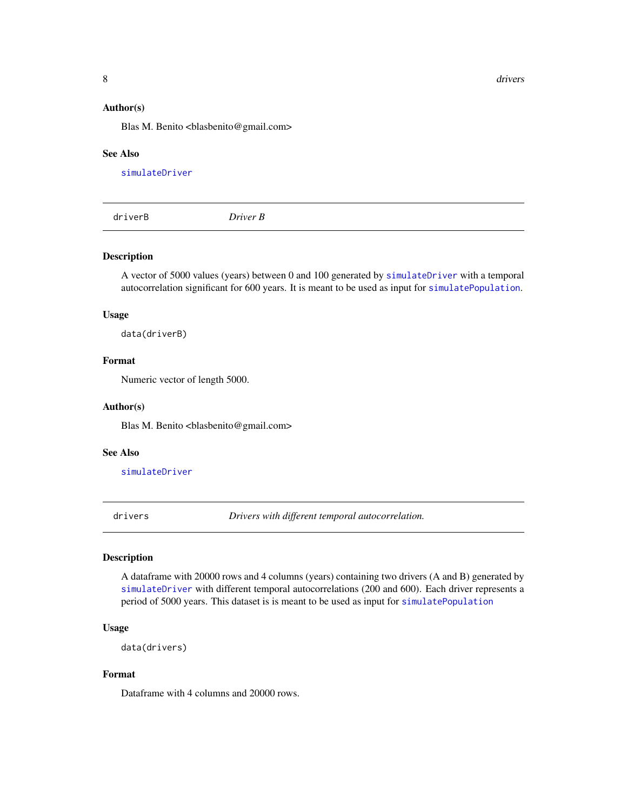<span id="page-7-0"></span>8 drivers and the contract of the contract of the contract of the contract of the contract of the contract of the contract of the contract of the contract of the contract of the contract of the contract of the contract of

#### Author(s)

Blas M. Benito <br/> <br/>blasbenito@gmail.com>

#### See Also

[simulateDriver](#page-18-1)

<span id="page-7-1"></span>driverB *Driver B*

#### Description

A vector of 5000 values (years) between 0 and 100 generated by [simulateDriver](#page-18-1) with a temporal autocorrelation significant for 600 years. It is meant to be used as input for [simulatePopulation](#page-22-1).

# Usage

data(driverB)

# Format

Numeric vector of length 5000.

#### Author(s)

Blas M. Benito <br/> <br/>blasbenito@gmail.com>

#### See Also

[simulateDriver](#page-18-1)

<span id="page-7-2"></span>drivers *Drivers with different temporal autocorrelation.*

# Description

A dataframe with 20000 rows and 4 columns (years) containing two drivers (A and B) generated by [simulateDriver](#page-18-1) with different temporal autocorrelations (200 and 600). Each driver represents a period of 5000 years. This dataset is is meant to be used as input for [simulatePopulation](#page-22-1)

#### Usage

```
data(drivers)
```
# Format

Dataframe with 4 columns and 20000 rows.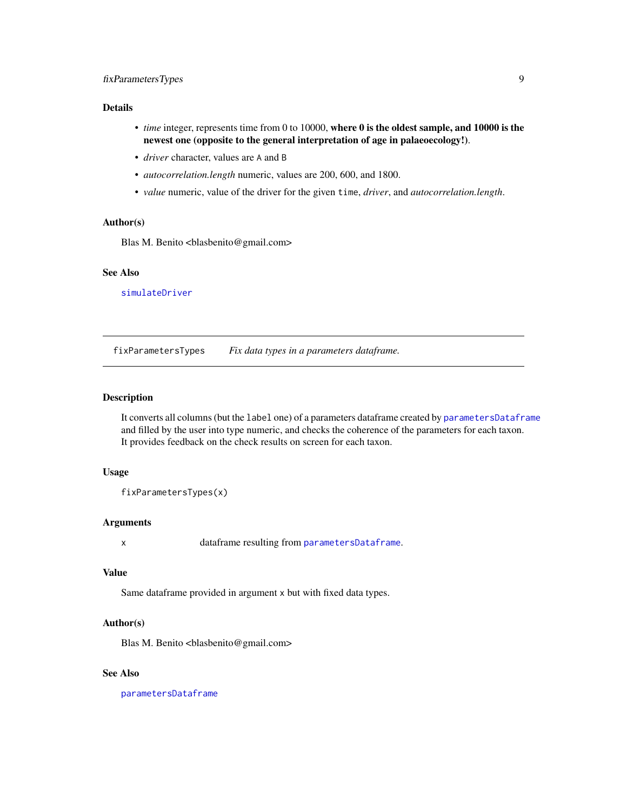# <span id="page-8-0"></span>fixParametersTypes 9

### Details

- *time* integer, represents time from 0 to 10000, where 0 is the oldest sample, and 10000 is the newest one (opposite to the general interpretation of age in palaeoecology!).
- *driver* character, values are A and B
- *autocorrelation.length* numeric, values are 200, 600, and 1800.
- *value* numeric, value of the driver for the given time, *driver*, and *autocorrelation.length*.

#### Author(s)

Blas M. Benito <br/> <br/>blasbenito@gmail.com>

#### See Also

[simulateDriver](#page-18-1)

<span id="page-8-1"></span>fixParametersTypes *Fix data types in a parameters dataframe.*

#### Description

It converts all columns (but the label one) of a parameters dataframe created by [parametersDataframe](#page-11-1) and filled by the user into type numeric, and checks the coherence of the parameters for each taxon. It provides feedback on the check results on screen for each taxon.

#### Usage

fixParametersTypes(x)

# Arguments

x dataframe resulting from [parametersDataframe](#page-11-1).

#### Value

Same dataframe provided in argument x but with fixed data types.

# Author(s)

Blas M. Benito <br/> <br/>blasbenito@gmail.com>

#### See Also

[parametersDataframe](#page-11-1)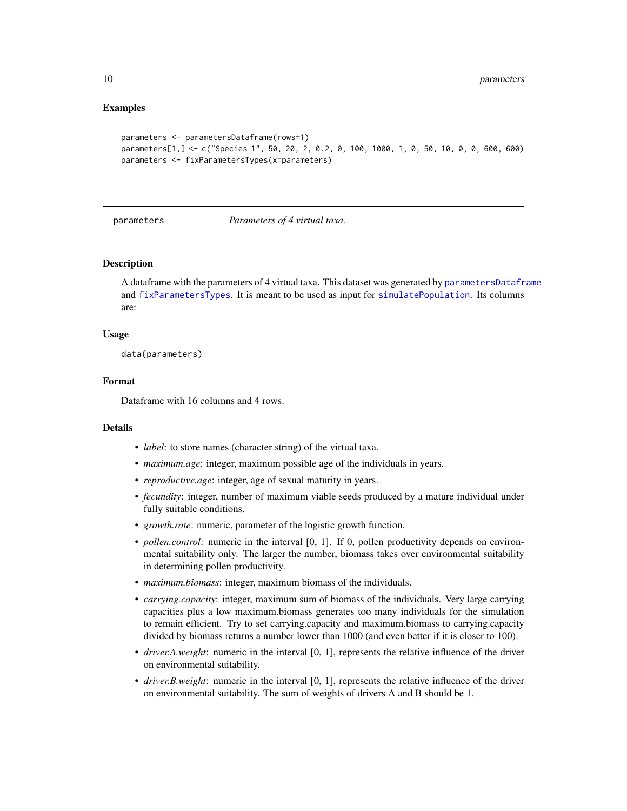#### Examples

```
parameters <- parametersDataframe(rows=1)
parameters[1,] <- c("Species 1", 50, 20, 2, 0.2, 0, 100, 1000, 1, 0, 50, 10, 0, 0, 600, 600)
parameters <- fixParametersTypes(x=parameters)
```
<span id="page-9-1"></span>parameters *Parameters of 4 virtual taxa.*

#### **Description**

A dataframe with the parameters of 4 virtual taxa. This dataset was generated by [parametersDataframe](#page-11-1) and [fixParametersTypes](#page-8-1). It is meant to be used as input for [simulatePopulation](#page-22-1). Its columns are:

#### Usage

data(parameters)

#### Format

Dataframe with 16 columns and 4 rows.

#### Details

- *label*: to store names (character string) of the virtual taxa.
- *maximum.age*: integer, maximum possible age of the individuals in years.
- *reproductive.age*: integer, age of sexual maturity in years.
- *fecundity*: integer, number of maximum viable seeds produced by a mature individual under fully suitable conditions.
- *growth.rate*: numeric, parameter of the logistic growth function.
- *pollen.control*: numeric in the interval [0, 1]. If 0, pollen productivity depends on environmental suitability only. The larger the number, biomass takes over environmental suitability in determining pollen productivity.
- *maximum.biomass*: integer, maximum biomass of the individuals.
- *carrying.capacity*: integer, maximum sum of biomass of the individuals. Very large carrying capacities plus a low maximum.biomass generates too many individuals for the simulation to remain efficient. Try to set carrying.capacity and maximum.biomass to carrying.capacity divided by biomass returns a number lower than 1000 (and even better if it is closer to 100).
- *driver.A.weight*: numeric in the interval [0, 1], represents the relative influence of the driver on environmental suitability.
- *driver.B.weight*: numeric in the interval [0, 1], represents the relative influence of the driver on environmental suitability. The sum of weights of drivers A and B should be 1.

<span id="page-9-0"></span>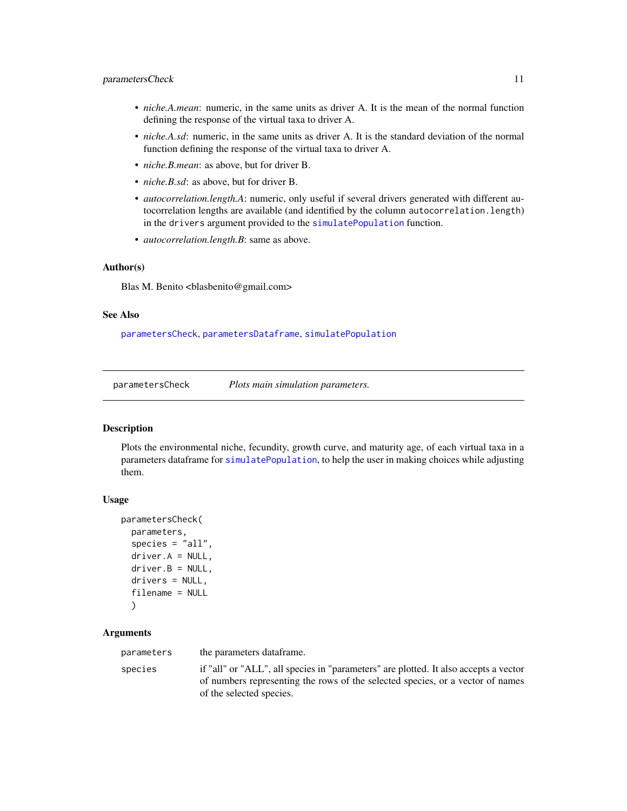# <span id="page-10-0"></span>parametersCheck 11

- *niche.A.mean*: numeric, in the same units as driver A. It is the mean of the normal function defining the response of the virtual taxa to driver A.
- *niche.A.sd*: numeric, in the same units as driver A. It is the standard deviation of the normal function defining the response of the virtual taxa to driver A.
- *niche.B.mean*: as above, but for driver B.
- *niche.B.sd*: as above, but for driver B.
- *autocorrelation.length.A*: numeric, only useful if several drivers generated with different autocorrelation lengths are available (and identified by the column autocorrelation.length) in the drivers argument provided to the [simulatePopulation](#page-22-1) function.
- *autocorrelation.length.B*: same as above.

# Author(s)

Blas M. Benito <br/>blasbenito@gmail.com>

# See Also

[parametersCheck](#page-10-1), [parametersDataframe](#page-11-1), [simulatePopulation](#page-22-1)

<span id="page-10-1"></span>parametersCheck *Plots main simulation parameters.*

# Description

Plots the environmental niche, fecundity, growth curve, and maturity age, of each virtual taxa in a parameters dataframe for [simulatePopulation](#page-22-1), to help the user in making choices while adjusting them.

#### Usage

```
parametersCheck(
 parameters,
  species = "all".driver.A = NULL,
  driver.B = NULL,
  drivers = NULL,
  filename = NULL
  )
```
### Arguments

parameters the parameters dataframe.

species if "all" or "ALL", all species in "parameters" are plotted. It also accepts a vector of numbers representing the rows of the selected species, or a vector of names of the selected species.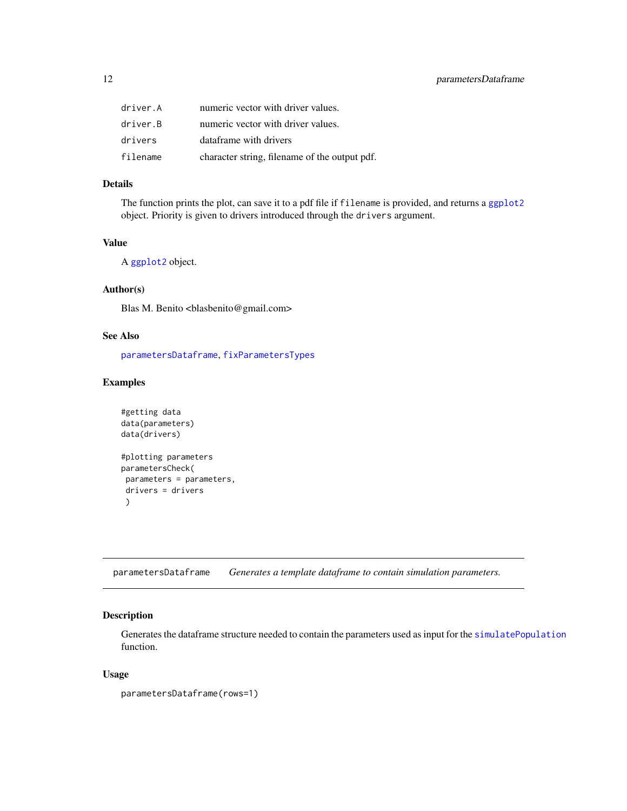<span id="page-11-0"></span>

| driver.A | numeric vector with driver values.            |
|----------|-----------------------------------------------|
| driver.B | numeric vector with driver values.            |
| drivers  | dataframe with drivers                        |
| filename | character string, filename of the output pdf. |

#### Details

The function prints the plot, can save it to a pdf file if filename is provided, and returns a [ggplot2](#page-0-0) object. Priority is given to drivers introduced through the drivers argument.

# Value

A [ggplot2](#page-0-0) object.

# Author(s)

Blas M. Benito <br/> <br/>blasbenito@gmail.com>

#### See Also

[parametersDataframe](#page-11-1), [fixParametersTypes](#page-8-1)

# Examples

```
#getting data
data(parameters)
data(drivers)
#plotting parameters
parametersCheck(
 parameters = parameters,
 drivers = drivers
 )
```
<span id="page-11-1"></span>parametersDataframe *Generates a template dataframe to contain simulation parameters.*

# Description

Generates the dataframe structure needed to contain the parameters used as input for the [simulatePopulation](#page-22-1) function.

#### Usage

```
parametersDataframe(rows=1)
```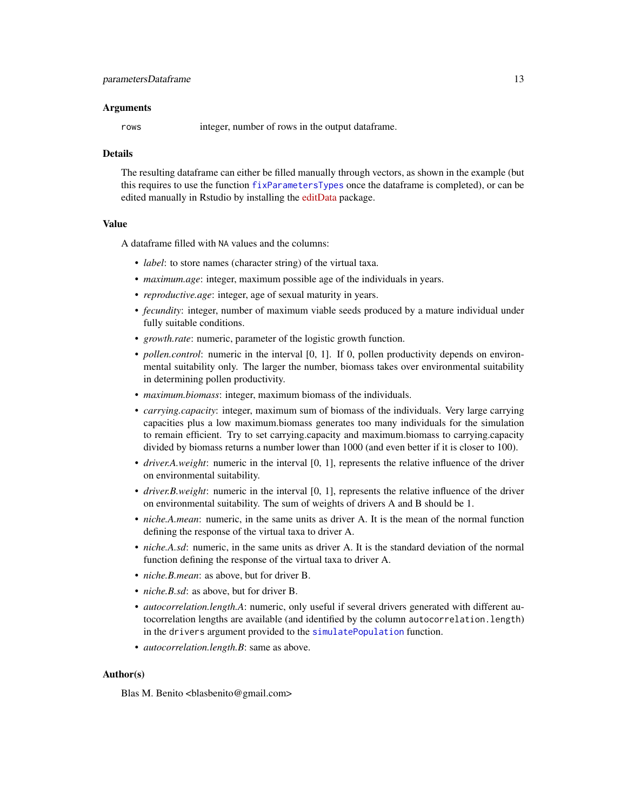#### Arguments

rows integer, number of rows in the output dataframe.

#### Details

The resulting dataframe can either be filled manually through vectors, as shown in the example (but this requires to use the function [fixParametersTypes](#page-8-1) once the dataframe is completed), or can be edited manually in Rstudio by installing the [editData](https://CRAN.R-project.org/package=editData) package.

#### Value

A dataframe filled with NA values and the columns:

- *label*: to store names (character string) of the virtual taxa.
- *maximum.age*: integer, maximum possible age of the individuals in years.
- *reproductive.age*: integer, age of sexual maturity in years.
- *fecundity*: integer, number of maximum viable seeds produced by a mature individual under fully suitable conditions.
- *growth.rate*: numeric, parameter of the logistic growth function.
- *pollen.control*: numeric in the interval [0, 1]. If 0, pollen productivity depends on environmental suitability only. The larger the number, biomass takes over environmental suitability in determining pollen productivity.
- *maximum.biomass*: integer, maximum biomass of the individuals.
- *carrying.capacity*: integer, maximum sum of biomass of the individuals. Very large carrying capacities plus a low maximum.biomass generates too many individuals for the simulation to remain efficient. Try to set carrying.capacity and maximum.biomass to carrying.capacity divided by biomass returns a number lower than 1000 (and even better if it is closer to 100).
- *driver.A.weight*: numeric in the interval [0, 1], represents the relative influence of the driver on environmental suitability.
- *driver.B.weight*: numeric in the interval [0, 1], represents the relative influence of the driver on environmental suitability. The sum of weights of drivers A and B should be 1.
- *niche.A.mean*: numeric, in the same units as driver A. It is the mean of the normal function defining the response of the virtual taxa to driver A.
- *niche.A.sd*: numeric, in the same units as driver A. It is the standard deviation of the normal function defining the response of the virtual taxa to driver A.
- *niche.B.mean*: as above, but for driver B.
- *niche.B.sd*: as above, but for driver B.
- *autocorrelation.length.A*: numeric, only useful if several drivers generated with different autocorrelation lengths are available (and identified by the column autocorrelation.length) in the drivers argument provided to the [simulatePopulation](#page-22-1) function.
- *autocorrelation.length.B*: same as above.

#### Author(s)

Blas M. Benito <br/> <br/>blasbenito@gmail.com>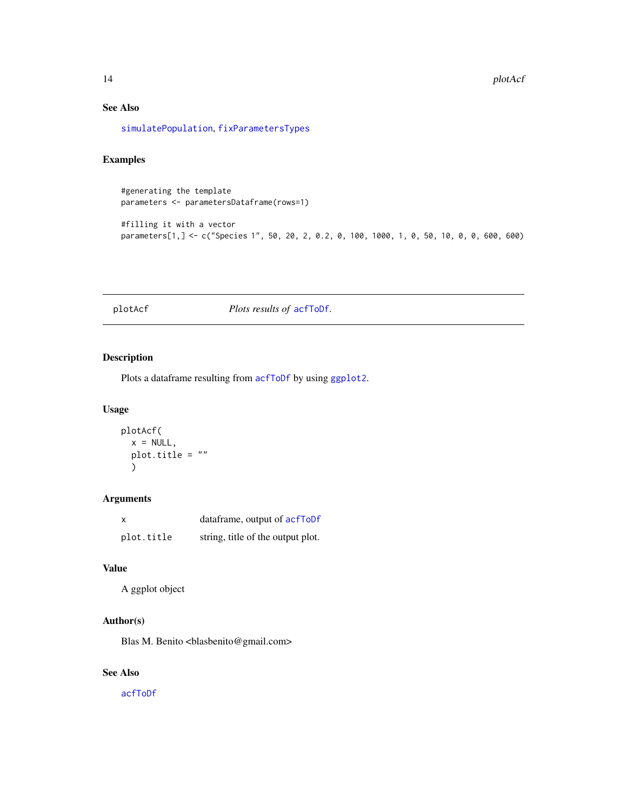# <span id="page-13-0"></span>See Also

[simulatePopulation](#page-22-1), [fixParametersTypes](#page-8-1)

# Examples

#generating the template parameters <- parametersDataframe(rows=1)

#filling it with a vector parameters[1,] <- c("Species 1", 50, 20, 2, 0.2, 0, 100, 1000, 1, 0, 50, 10, 0, 0, 600, 600)

<span id="page-13-1"></span>plotAcf *Plots results of* [acfToDf](#page-2-1)*.*

# Description

Plots a dataframe resulting from [acfToDf](#page-2-1) by using [ggplot2](#page-0-0).

# Usage

```
plotAcf(
  x = NULL,plot.title = ""
  \lambda
```
# Arguments

| x          | dataframe, output of acfToDf      |
|------------|-----------------------------------|
| plot.title | string, title of the output plot. |

# Value

A ggplot object

# Author(s)

Blas M. Benito <br/> <br/>blasbenito@gmail.com>

# See Also

[acfToDf](#page-2-1)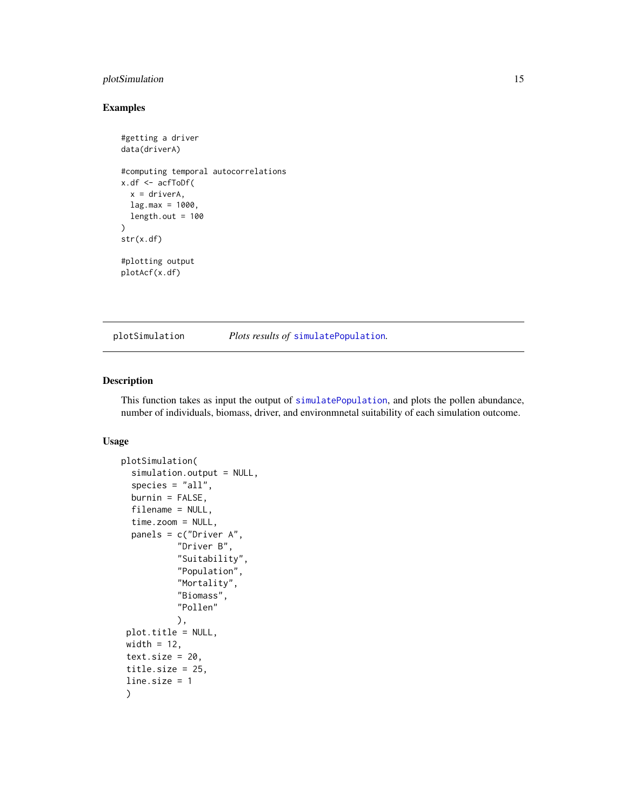# <span id="page-14-0"></span>plotSimulation 15

# Examples

```
#getting a driver
data(driverA)
#computing temporal autocorrelations
x.df <- acfToDf(
  x = driverA,
  lag.max = 1000,length.out = 100\mathcal{L}str(x.df)
#plotting output
plotAcf(x.df)
```
<span id="page-14-1"></span>plotSimulation *Plots results of* [simulatePopulation](#page-22-1)*.*

#### Description

This function takes as input the output of [simulatePopulation](#page-22-1), and plots the pollen abundance, number of individuals, biomass, driver, and environmnetal suitability of each simulation outcome.

# Usage

```
plotSimulation(
  simulation.output = NULL,
  species = "all",burnin = FALSE,filename = NULL,
  time.zoom = NULL,
  panels = c("Driver A",
           "Driver B",
           "Suitability",
           "Population",
           "Mortality",
           "Biomass",
           "Pollen"
           ),
 plot.title = NULL,
width = 12,
 text.size = 20,
 title.size = 25,
line.size = 1
)
```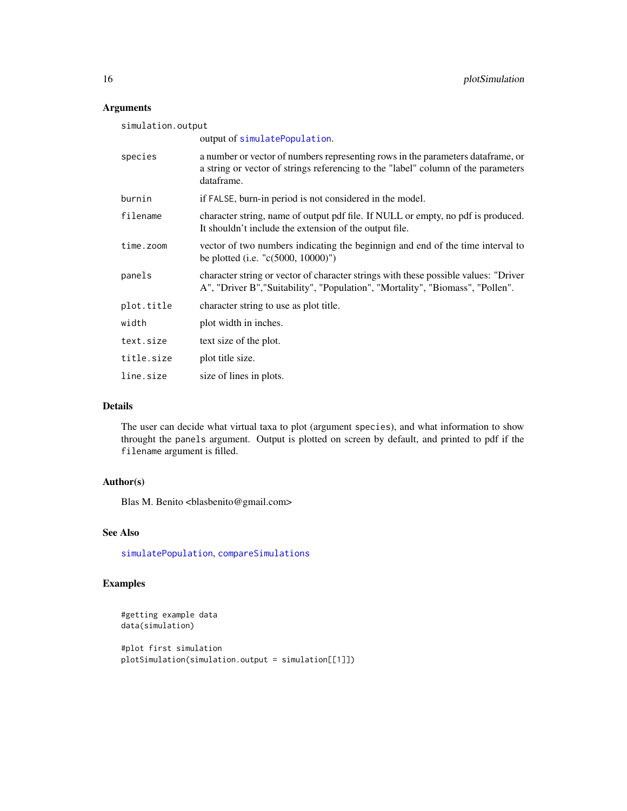# Arguments

| simulation.output |                                                                                                                                                                                    |  |  |  |
|-------------------|------------------------------------------------------------------------------------------------------------------------------------------------------------------------------------|--|--|--|
|                   | output of simulatePopulation.                                                                                                                                                      |  |  |  |
| species           | a number or vector of numbers representing rows in the parameters dataframe, or<br>a string or vector of strings referencing to the "label" column of the parameters<br>dataframe. |  |  |  |
| burnin            | if FALSE, burn-in period is not considered in the model.                                                                                                                           |  |  |  |
| filename          | character string, name of output pdf file. If NULL or empty, no pdf is produced.<br>It shouldn't include the extension of the output file.                                         |  |  |  |
| time.zoom         | vector of two numbers indicating the beginnign and end of the time interval to<br>be plotted (i.e. " $c(5000, 10000)$ ")                                                           |  |  |  |
| panels            | character string or vector of character strings with these possible values: "Driver<br>A", "Driver B", "Suitability", "Population", "Mortality", "Biomass", "Pollen".              |  |  |  |
| plot.title        | character string to use as plot title.                                                                                                                                             |  |  |  |
| width             | plot width in inches.                                                                                                                                                              |  |  |  |
| text.size         | text size of the plot.                                                                                                                                                             |  |  |  |
| title.size        | plot title size.                                                                                                                                                                   |  |  |  |
| line.size         | size of lines in plots.                                                                                                                                                            |  |  |  |

# Details

The user can decide what virtual taxa to plot (argument species), and what information to show throught the panels argument. Output is plotted on screen by default, and printed to pdf if the filename argument is filled.

# Author(s)

Blas M. Benito <br/> <br/>blasbenito@gmail.com>

#### See Also

[simulatePopulation](#page-22-1), [compareSimulations](#page-5-1)

# Examples

```
#getting example data
data(simulation)
```

```
#plot first simulation
plotSimulation(simulation.output = simulation[[1]])
```
<span id="page-15-0"></span>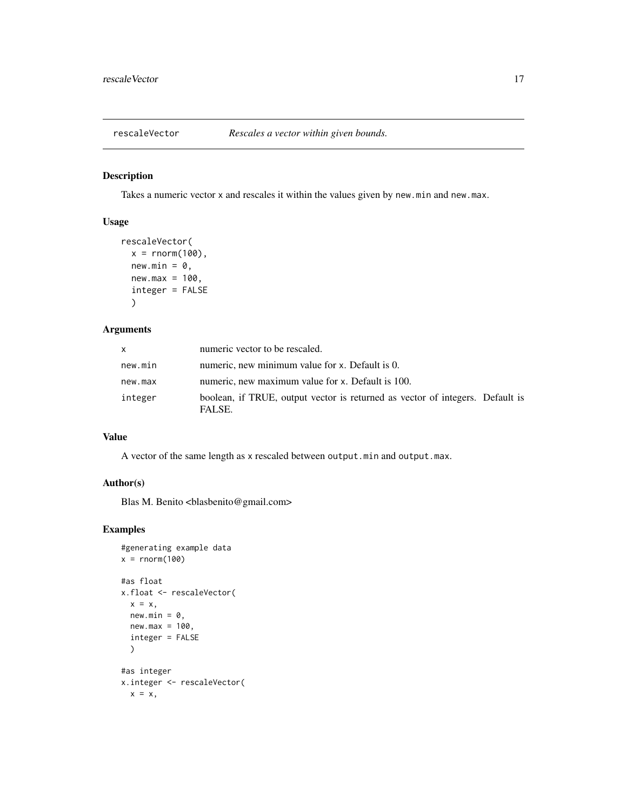<span id="page-16-1"></span><span id="page-16-0"></span>

# Description

Takes a numeric vector x and rescales it within the values given by new.min and new.max.

# Usage

```
rescaleVector(
  x = rnorm(100),
  new.min = 0,new.max = 100,integer = FALSE
  \mathcal{L}
```
# Arguments

| <b>X</b> | numeric vector to be rescaled.                                                          |
|----------|-----------------------------------------------------------------------------------------|
| new.min  | numeric, new minimum value for x. Default is 0.                                         |
| new.max  | numeric, new maximum value for x. Default is 100.                                       |
| integer  | boolean, if TRUE, output vector is returned as vector of integers. Default is<br>FALSE. |

# Value

A vector of the same length as x rescaled between output.min and output.max.

# Author(s)

Blas M. Benito <br/> <br/>blasbenito@gmail.com>

# Examples

```
#generating example data
x = rnorm(100)#as float
x.float <- rescaleVector(
  x = x,
  new.min = 0,new.max = 100,integer = FALSE
  )
#as integer
x.integer <- rescaleVector(
  x = x,
```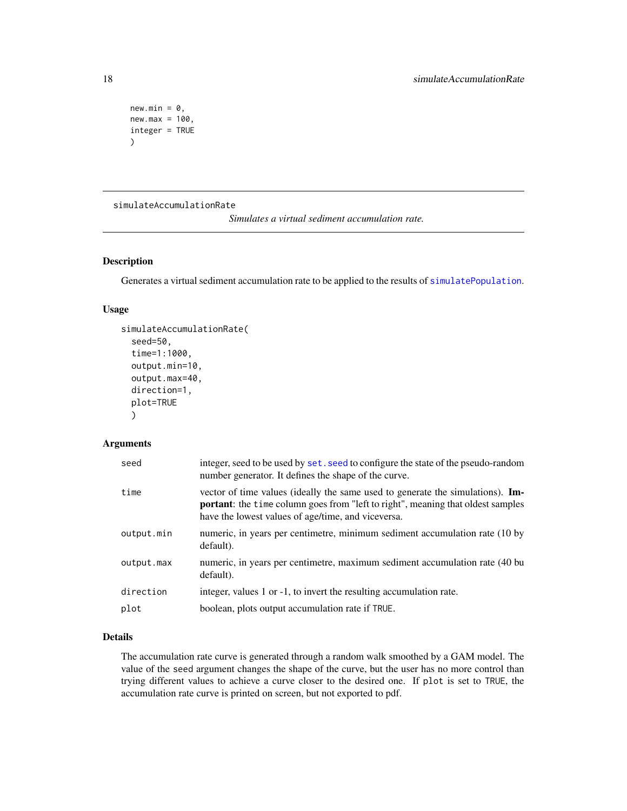```
new.min = 0,new.max = 100,integer = TRUE
\lambda
```
<span id="page-17-1"></span>simulateAccumulationRate

*Simulates a virtual sediment accumulation rate.*

# Description

Generates a virtual sediment accumulation rate to be applied to the results of [simulatePopulation](#page-22-1).

# Usage

```
simulateAccumulationRate(
  seed=50,
  time=1:1000,
 output.min=10,
  output.max=40,
 direction=1,
 plot=TRUE
  )
```
# Arguments

| seed       | integer, seed to be used by set. seed to configure the state of the pseudo-random<br>number generator. It defines the shape of the curve.                                                                                              |
|------------|----------------------------------------------------------------------------------------------------------------------------------------------------------------------------------------------------------------------------------------|
| time       | vector of time values (ideally the same used to generate the simulations). <b>Im-</b><br><b>portant</b> : the time column goes from "left to right", meaning that oldest samples<br>have the lowest values of age/time, and viceversa. |
| output.min | numeric, in years per centimetre, minimum sediment accumulation rate (10 by<br>default).                                                                                                                                               |
| output.max | numeric, in years per centimetre, maximum sediment accumulation rate (40 bu<br>default).                                                                                                                                               |
| direction  | integer, values 1 or -1, to invert the resulting accumulation rate.                                                                                                                                                                    |
| plot       | boolean, plots output accumulation rate if TRUE.                                                                                                                                                                                       |

# Details

The accumulation rate curve is generated through a random walk smoothed by a GAM model. The value of the seed argument changes the shape of the curve, but the user has no more control than trying different values to achieve a curve closer to the desired one. If plot is set to TRUE, the accumulation rate curve is printed on screen, but not exported to pdf.

<span id="page-17-0"></span>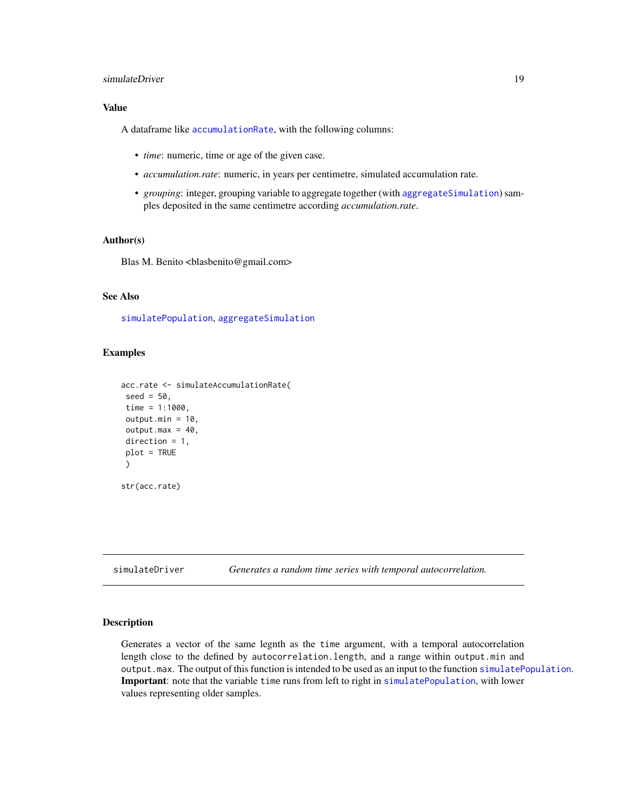# <span id="page-18-0"></span>simulateDriver 19

# Value

A dataframe like [accumulationRate](#page-1-1), with the following columns:

- *time*: numeric, time or age of the given case.
- *accumulation.rate*: numeric, in years per centimetre, simulated accumulation rate.
- *grouping*: integer, grouping variable to aggregate together (with [aggregateSimulation](#page-3-1)) samples deposited in the same centimetre according *accumulation.rate*.

#### Author(s)

Blas M. Benito <br/> <br/>blasbenito@gmail.com>

# See Also

[simulatePopulation](#page-22-1), [aggregateSimulation](#page-3-1)

#### Examples

```
acc.rate <- simulateAccumulationRate(
seed = 50,
time = 1:1000,output.min = 10,
output.max = 40,direction = 1,
plot = TRUE
 )
str(acc.rate)
```
<span id="page-18-1"></span>simulateDriver *Generates a random time series with temporal autocorrelation.*

#### Description

Generates a vector of the same legnth as the time argument, with a temporal autocorrelation length close to the defined by autocorrelation.length, and a range within output.min and output.max. The output of this function is intended to be used as an input to the function [simulatePopulation](#page-22-1). Important: note that the variable time runs from left to right in [simulatePopulation](#page-22-1), with lower values representing older samples.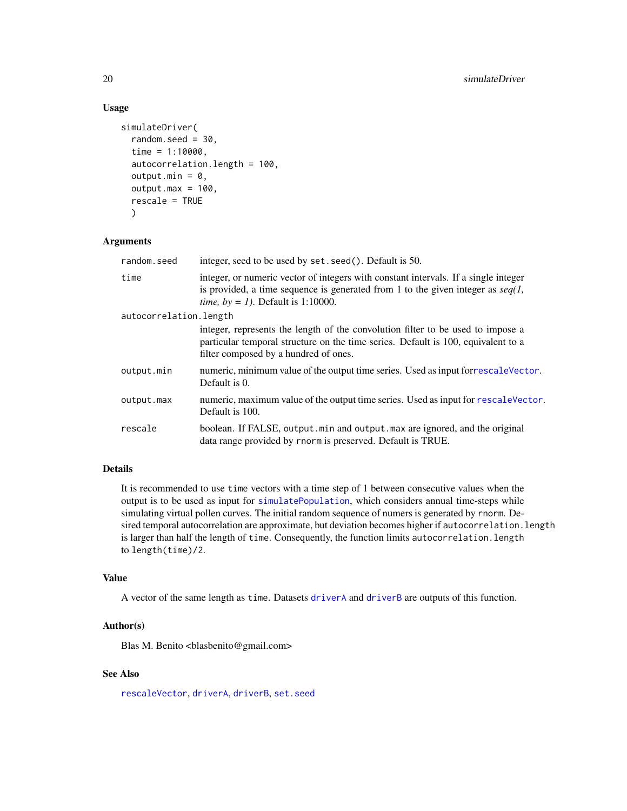# Usage

```
simulateDriver(
  random.seed = 30,
  time = 1:10000,autocorrelation.length = 100,
  output.min = 0,
  output.max = 100,rescale = TRUE
  \lambda
```
# Arguments

| random.seed            | integer, seed to be used by set. seed(). Default is 50.                                                                                                                                                                  |
|------------------------|--------------------------------------------------------------------------------------------------------------------------------------------------------------------------------------------------------------------------|
| time                   | integer, or numeric vector of integers with constant intervals. If a single integer<br>is provided, a time sequence is generated from 1 to the given integer as $seq(1, 1)$<br><i>time, by = 1).</i> Default is 1:10000. |
| autocorrelation.length |                                                                                                                                                                                                                          |
|                        | integer, represents the length of the convolution filter to be used to impose a<br>particular temporal structure on the time series. Default is 100, equivalent to a<br>filter composed by a hundred of ones.            |
| output.min             | numeric, minimum value of the output time series. Used as input for rescale Vector.<br>Default is 0.                                                                                                                     |
| output.max             | numeric, maximum value of the output time series. Used as input for rescale Vector.<br>Default is 100.                                                                                                                   |
| rescale                | boolean. If FALSE, output min and output max are ignored, and the original<br>data range provided by rnorm is preserved. Default is TRUE.                                                                                |

# Details

It is recommended to use time vectors with a time step of 1 between consecutive values when the output is to be used as input for [simulatePopulation](#page-22-1), which considers annual time-steps while simulating virtual pollen curves. The initial random sequence of numers is generated by rnorm. Desired temporal autocorrelation are approximate, but deviation becomes higher if autocorrelation.length is larger than half the length of time. Consequently, the function limits autocorrelation.length to length(time)/2.

#### Value

A vector of the same length as time. Datasets [driverA](#page-6-1) and [driverB](#page-7-1) are outputs of this function.

# Author(s)

Blas M. Benito <br/> <br/>blasbenito@gmail.com>

# See Also

[rescaleVector](#page-16-1), [driverA](#page-6-1), [driverB](#page-7-1), [set.seed](#page-0-0)

<span id="page-19-0"></span>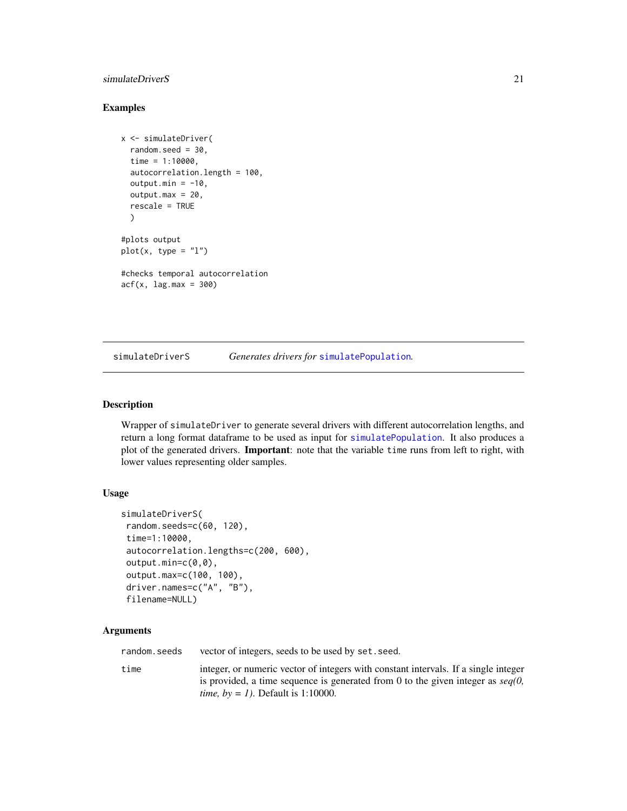# <span id="page-20-0"></span>simulateDriverS 21

## Examples

```
x <- simulateDriver(
  random.seed = 30,
  time = 1:10000,autocorrelation.length = 100,
  output.min = -10,
  output.max = 20,
  rescale = TRUE
  )
#plots output
plot(x, type = "l")#checks temporal autocorrelation
acf(x, lag.max = 300)
```
<span id="page-20-1"></span>simulateDriverS *Generates drivers for* [simulatePopulation](#page-22-1)*.*

# Description

Wrapper of simulateDriver to generate several drivers with different autocorrelation lengths, and return a long format dataframe to be used as input for [simulatePopulation](#page-22-1). It also produces a plot of the generated drivers. Important: note that the variable time runs from left to right, with lower values representing older samples.

#### Usage

```
simulateDriverS(
random.seeds=c(60, 120),
time=1:10000,
autocorrelation.lengths=c(200, 600),
output.min=c(0,0),
output.max=c(100, 100),
driver.names=c("A", "B"),
filename=NULL)
```
# Arguments

random. seeds vector of integers, seeds to be used by set. seed.

time integer, or numeric vector of integers with constant intervals. If a single integer is provided, a time sequence is generated from 0 to the given integer as *seq(0, time, by = 1)*. Default is 1:10000.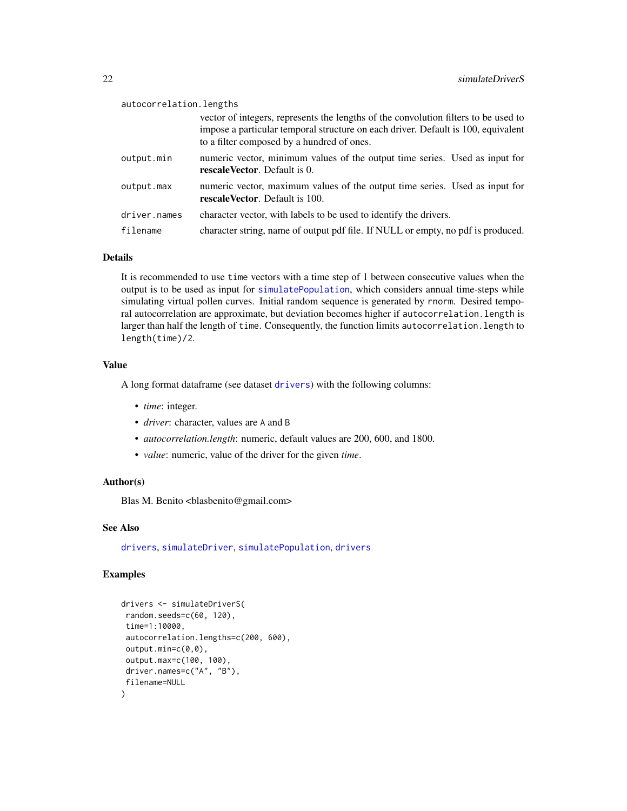<span id="page-21-0"></span>

| autocorrelation.lengths |                                                                                                                                                                                                                        |  |  |  |
|-------------------------|------------------------------------------------------------------------------------------------------------------------------------------------------------------------------------------------------------------------|--|--|--|
|                         | vector of integers, represents the lengths of the convolution filters to be used to<br>impose a particular temporal structure on each driver. Default is 100, equivalent<br>to a filter composed by a hundred of ones. |  |  |  |
| output.min              | numeric vector, minimum values of the output time series. Used as input for<br>rescale Vector. Default is 0.                                                                                                           |  |  |  |
| output.max              | numeric vector, maximum values of the output time series. Used as input for<br>rescaleVector. Default is 100.                                                                                                          |  |  |  |
| driver.names            | character vector, with labels to be used to identify the drivers.                                                                                                                                                      |  |  |  |
| filename                | character string, name of output pdf file. If NULL or empty, no pdf is produced.                                                                                                                                       |  |  |  |

#### Details

It is recommended to use time vectors with a time step of 1 between consecutive values when the output is to be used as input for [simulatePopulation](#page-22-1), which considers annual time-steps while simulating virtual pollen curves. Initial random sequence is generated by rnorm. Desired temporal autocorrelation are approximate, but deviation becomes higher if autocorrelation.length is larger than half the length of time. Consequently, the function limits autocorrelation.length to length(time)/2.

# Value

A long format dataframe (see dataset [drivers](#page-7-2)) with the following columns:

- *time*: integer.
- *driver*: character, values are A and B
- *autocorrelation.length*: numeric, default values are 200, 600, and 1800.
- *value*: numeric, value of the driver for the given *time*.

# Author(s)

Blas M. Benito <br/> <br/>blasbenito@gmail.com>

# See Also

[drivers](#page-7-2), [simulateDriver](#page-18-1), [simulatePopulation](#page-22-1), [drivers](#page-7-2)

# Examples

```
drivers <- simulateDriverS(
random.seeds=c(60, 120),
time=1:10000,
autocorrelation.lengths=c(200, 600),
output.min=c(0,0),
output.max=c(100, 100),
driver.names=c("A", "B"),
filename=NULL
)
```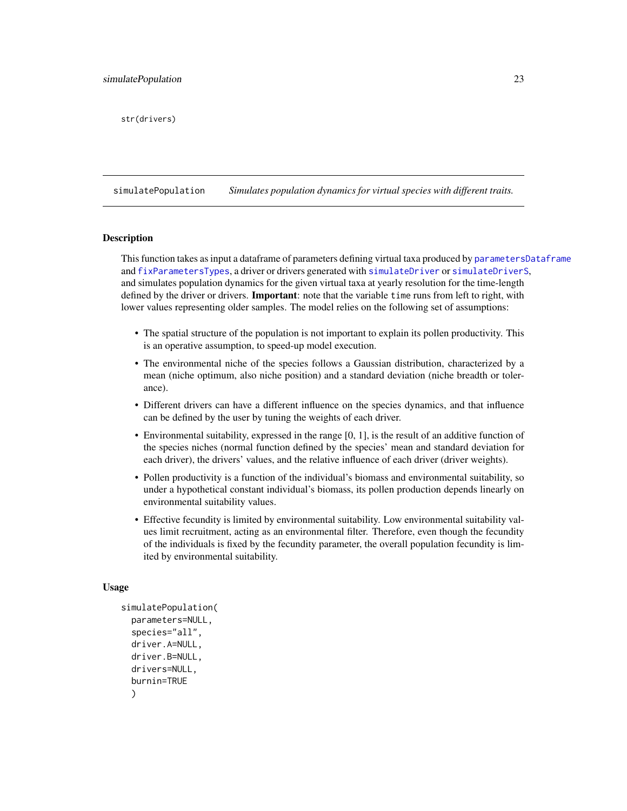<span id="page-22-0"></span>str(drivers)

<span id="page-22-1"></span>simulatePopulation *Simulates population dynamics for virtual species with different traits.*

#### **Description**

This function takes as input a dataframe of parameters defining virtual taxa produced by [parametersDataframe](#page-11-1) and [fixParametersTypes](#page-8-1), a driver or drivers generated with [simulateDriver](#page-18-1) or [simulateDriverS](#page-20-1), and simulates population dynamics for the given virtual taxa at yearly resolution for the time-length defined by the driver or drivers. **Important**: note that the variable time runs from left to right, with lower values representing older samples. The model relies on the following set of assumptions:

- The spatial structure of the population is not important to explain its pollen productivity. This is an operative assumption, to speed-up model execution.
- The environmental niche of the species follows a Gaussian distribution, characterized by a mean (niche optimum, also niche position) and a standard deviation (niche breadth or tolerance).
- Different drivers can have a different influence on the species dynamics, and that influence can be defined by the user by tuning the weights of each driver.
- Environmental suitability, expressed in the range [0, 1], is the result of an additive function of the species niches (normal function defined by the species' mean and standard deviation for each driver), the drivers' values, and the relative influence of each driver (driver weights).
- Pollen productivity is a function of the individual's biomass and environmental suitability, so under a hypothetical constant individual's biomass, its pollen production depends linearly on environmental suitability values.
- Effective fecundity is limited by environmental suitability. Low environmental suitability values limit recruitment, acting as an environmental filter. Therefore, even though the fecundity of the individuals is fixed by the fecundity parameter, the overall population fecundity is limited by environmental suitability.

#### Usage

```
simulatePopulation(
 parameters=NULL,
 species="all",
  driver.A=NULL,
  driver.B=NULL,
  drivers=NULL,
  burnin=TRUE
  )
```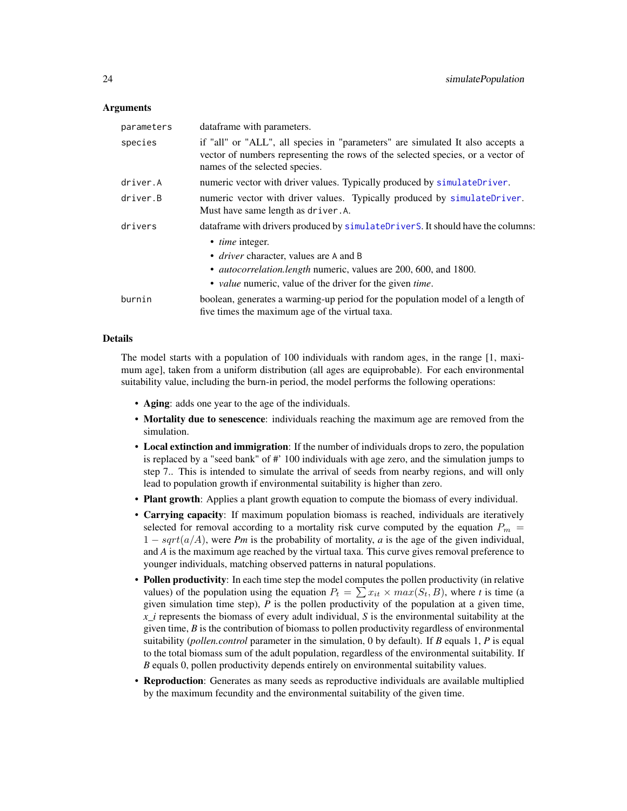#### <span id="page-23-0"></span>Arguments

| parameters | dataframe with parameters.                                                                                                                                                                          |
|------------|-----------------------------------------------------------------------------------------------------------------------------------------------------------------------------------------------------|
| species    | if "all" or "ALL", all species in "parameters" are simulated It also accepts a<br>vector of numbers representing the rows of the selected species, or a vector of<br>names of the selected species. |
| driver.A   | numeric vector with driver values. Typically produced by simulateDriver.                                                                                                                            |
| driver.B   | numeric vector with driver values. Typically produced by simulateDriver.<br>Must have same length as driver. A.                                                                                     |
| drivers    | dataframe with drivers produced by simulateDriverS. It should have the columns:                                                                                                                     |
|            | • <i>time</i> integer.                                                                                                                                                                              |
|            | • <i>driver</i> character, values are A and B                                                                                                                                                       |
|            | • <i>autocorrelation.length</i> numeric, values are 200, 600, and 1800.                                                                                                                             |
|            | • <i>value</i> numeric, value of the driver for the given <i>time</i> .                                                                                                                             |
| burnin     | boolean, generates a warming-up period for the population model of a length of<br>five times the maximum age of the virtual taxa.                                                                   |

#### Details

The model starts with a population of 100 individuals with random ages, in the range [1, maximum age], taken from a uniform distribution (all ages are equiprobable). For each environmental suitability value, including the burn-in period, the model performs the following operations:

- Aging: adds one year to the age of the individuals.
- Mortality due to senescence: individuals reaching the maximum age are removed from the simulation.
- Local extinction and immigration: If the number of individuals drops to zero, the population is replaced by a "seed bank" of #' 100 individuals with age zero, and the simulation jumps to step 7.. This is intended to simulate the arrival of seeds from nearby regions, and will only lead to population growth if environmental suitability is higher than zero.
- Plant growth: Applies a plant growth equation to compute the biomass of every individual.
- Carrying capacity: If maximum population biomass is reached, individuals are iteratively selected for removal according to a mortality risk curve computed by the equation  $P_m$  =  $1 - sqrt(a/A)$ , were *Pm* is the probability of mortality, *a* is the age of the given individual, and *A* is the maximum age reached by the virtual taxa. This curve gives removal preference to younger individuals, matching observed patterns in natural populations.
- Pollen productivity: In each time step the model computes the pollen productivity (in relative values) of the population using the equation  $P_t = \sum x_{it} \times max(S_t, B)$ , where *t* is time (a given simulation time step), *P* is the pollen productivity of the population at a given time, *x\_i* represents the biomass of every adult individual, *S* is the environmental suitability at the given time, *B* is the contribution of biomass to pollen productivity regardless of environmental suitability (*pollen.control* parameter in the simulation, 0 by default). If *B* equals 1, *P* is equal to the total biomass sum of the adult population, regardless of the environmental suitability. If *B* equals 0, pollen productivity depends entirely on environmental suitability values.
- Reproduction: Generates as many seeds as reproductive individuals are available multiplied by the maximum fecundity and the environmental suitability of the given time.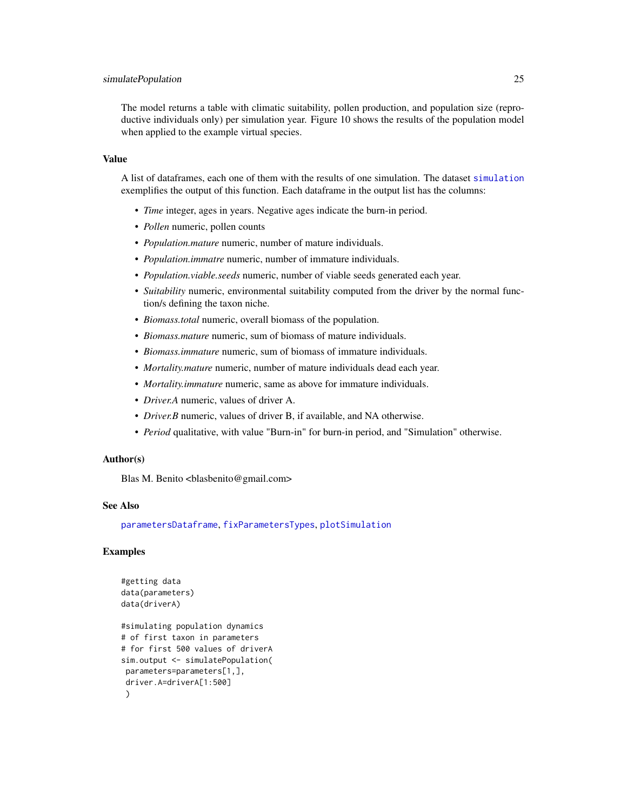#### <span id="page-24-0"></span>simulatePopulation 25

The model returns a table with climatic suitability, pollen production, and population size (reproductive individuals only) per simulation year. Figure 10 shows the results of the population model when applied to the example virtual species.

#### Value

A list of dataframes, each one of them with the results of one simulation. The dataset [simulation](#page-25-1) exemplifies the output of this function. Each dataframe in the output list has the columns:

- *Time* integer, ages in years. Negative ages indicate the burn-in period.
- *Pollen* numeric, pollen counts
- *Population.mature* numeric, number of mature individuals.
- *Population.immatre* numeric, number of immature individuals.
- *Population.viable.seeds* numeric, number of viable seeds generated each year.
- *Suitability* numeric, environmental suitability computed from the driver by the normal function/s defining the taxon niche.
- *Biomass.total* numeric, overall biomass of the population.
- *Biomass.mature* numeric, sum of biomass of mature individuals.
- *Biomass.immature* numeric, sum of biomass of immature individuals.
- *Mortality.mature* numeric, number of mature individuals dead each year.
- *Mortality.immature* numeric, same as above for immature individuals.
- *Driver.A* numeric, values of driver A.
- *Driver.B* numeric, values of driver B, if available, and NA otherwise.
- *Period* qualitative, with value "Burn-in" for burn-in period, and "Simulation" otherwise.

#### Author(s)

Blas M. Benito <br/> <br/>blasbenito@gmail.com>

### See Also

[parametersDataframe](#page-11-1), [fixParametersTypes](#page-8-1), [plotSimulation](#page-14-1)

# Examples

```
#getting data
data(parameters)
data(driverA)
#simulating population dynamics
# of first taxon in parameters
# for first 500 values of driverA
sim.output <- simulatePopulation(
parameters=parameters[1,],
driver.A=driverA[1:500]
 \mathcal{L}
```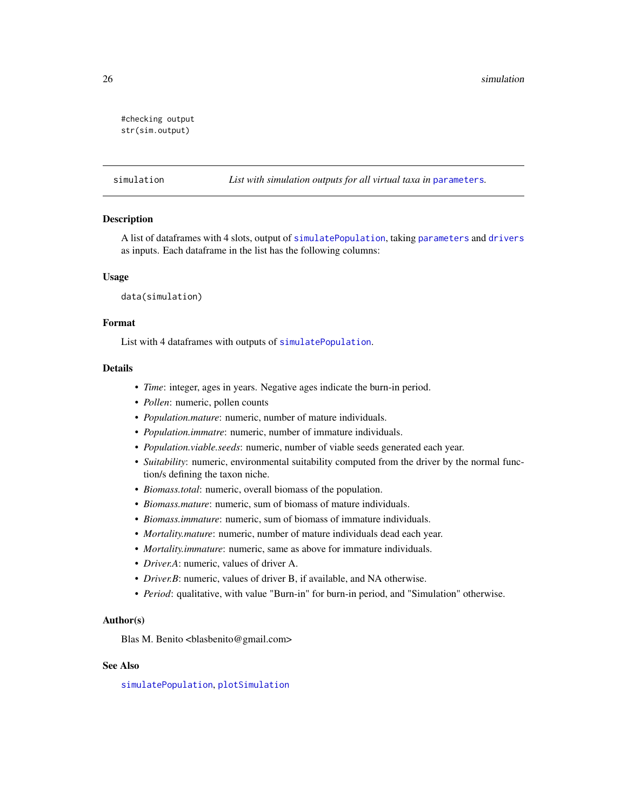```
#checking output
str(sim.output)
```
<span id="page-25-1"></span>simulation *List with simulation outputs for all virtual taxa in* [parameters](#page-9-1)*.*

# Description

A list of dataframes with 4 slots, output of [simulatePopulation](#page-22-1), taking [parameters](#page-9-1) and [drivers](#page-7-2) as inputs. Each dataframe in the list has the following columns:

#### Usage

data(simulation)

#### Format

List with 4 dataframes with outputs of [simulatePopulation](#page-22-1).

#### **Details**

- *Time*: integer, ages in years. Negative ages indicate the burn-in period.
- *Pollen*: numeric, pollen counts
- *Population.mature*: numeric, number of mature individuals.
- *Population.immatre*: numeric, number of immature individuals.
- *Population.viable.seeds*: numeric, number of viable seeds generated each year.
- *Suitability*: numeric, environmental suitability computed from the driver by the normal function/s defining the taxon niche.
- *Biomass.total*: numeric, overall biomass of the population.
- *Biomass.mature*: numeric, sum of biomass of mature individuals.
- *Biomass.immature*: numeric, sum of biomass of immature individuals.
- *Mortality.mature*: numeric, number of mature individuals dead each year.
- *Mortality.immature*: numeric, same as above for immature individuals.
- *Driver.A*: numeric, values of driver A.
- *Driver.B*: numeric, values of driver B, if available, and NA otherwise.
- *Period*: qualitative, with value "Burn-in" for burn-in period, and "Simulation" otherwise.

#### Author(s)

Blas M. Benito <br/> <br/>blasbenito@gmail.com>

#### See Also

[simulatePopulation](#page-22-1), [plotSimulation](#page-14-1)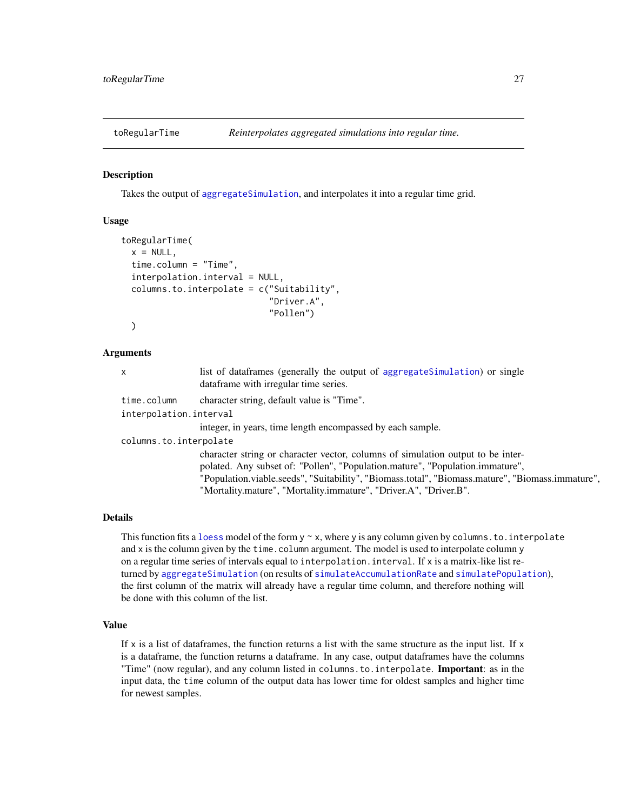<span id="page-26-0"></span>

# Description

Takes the output of [aggregateSimulation](#page-3-1), and interpolates it into a regular time grid.

#### Usage

```
toRegularTime(
  x = NULL,time.column = "Time",
  interpolation.interval = NULL,
  column.to.interpolate = c("Suitability","Driver.A",
                              "Pollen")
  )
```
#### Arguments

| X                      | list of data frames (generally the output of aggregate Simulation) or single<br>dataframe with irregular time series. |
|------------------------|-----------------------------------------------------------------------------------------------------------------------|
| time.column            | character string, default value is "Time".                                                                            |
| interpolation.interval |                                                                                                                       |
|                        | integer, in years, time length encompassed by each sample.                                                            |
| columns.to.interpolate |                                                                                                                       |
|                        | character string or character vector, columns of simulation output to be inter-                                       |
|                        | polated. Any subset of: "Pollen", "Population.mature", "Population.immature",                                         |
|                        | "Population.viable.seeds", "Suitability", "Biomass.total", "Biomass.mature", "Biomass.immature",                      |

#### Details

This function fits a [loess](#page-0-0) model of the form  $y \sim x$ , where y is any column given by columns. to. interpolate and x is the column given by the time.column argument. The model is used to interpolate column y on a regular time series of intervals equal to interpolation.interval. If x is a matrix-like list returned by [aggregateSimulation](#page-3-1) (on results of [simulateAccumulationRate](#page-17-1) and [simulatePopulation](#page-22-1)), the first column of the matrix will already have a regular time column, and therefore nothing will be done with this column of the list.

"Mortality.mature", "Mortality.immature", "Driver.A", "Driver.B".

# Value

If x is a list of dataframes, the function returns a list with the same structure as the input list. If  $x$ is a dataframe, the function returns a dataframe. In any case, output dataframes have the columns "Time" (now regular), and any column listed in columns.to.interpolate. Important: as in the input data, the time column of the output data has lower time for oldest samples and higher time for newest samples.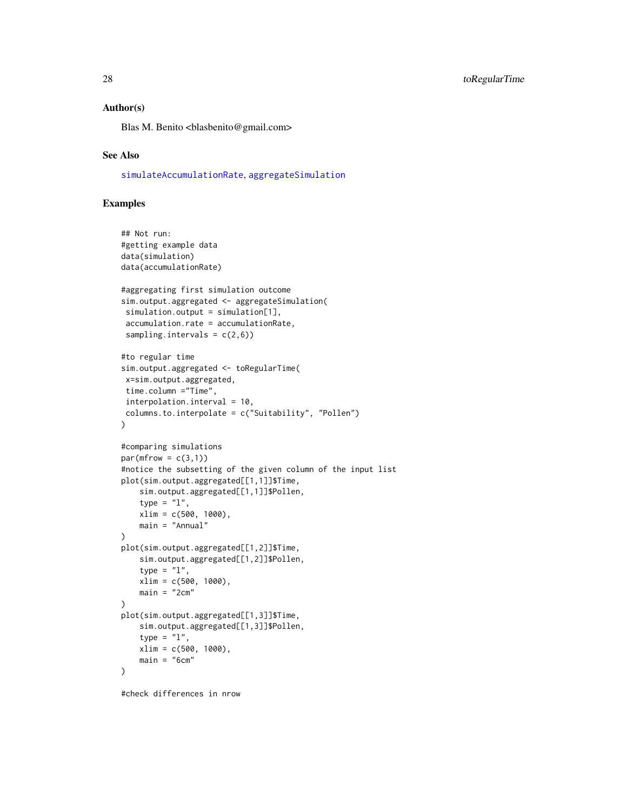#### <span id="page-27-0"></span>Author(s)

Blas M. Benito <br/> <br/>blasbenito@gmail.com>

# See Also

[simulateAccumulationRate](#page-17-1), [aggregateSimulation](#page-3-1)

# Examples

```
## Not run:
#getting example data
data(simulation)
data(accumulationRate)
#aggregating first simulation outcome
sim.output.aggregated <- aggregateSimulation(
simulation.output = simulation[1],
accumulation.rate = accumulationRate,
sampling.intervals = c(2,6))
#to regular time
sim.output.aggregated <- toRegularTime(
x=sim.output.aggregated,
time.column ="Time",
interpolation.interval = 10,
columns.to.interpolate = c("Suitability", "Pollen")
\lambda#comparing simulations
par(mfrow = c(3,1))#notice the subsetting of the given column of the input list
plot(sim.output.aggregated[[1,1]]$Time,
    sim.output.aggregated[[1,1]]$Pollen,
    type = "1",
   xlim = c(500, 1000),
   main = "Annual"
)
plot(sim.output.aggregated[[1,2]]$Time,
   sim.output.aggregated[[1,2]]$Pollen,
    type = "1",xlim = c(500, 1000),
   main = "2cm"\mathcal{L}plot(sim.output.aggregated[[1,3]]$Time,
    sim.output.aggregated[[1,3]]$Pollen,
    type = "l",
   xlim = c(500, 1000),
    main = "6cm"\mathcal{L}
```
#check differences in nrow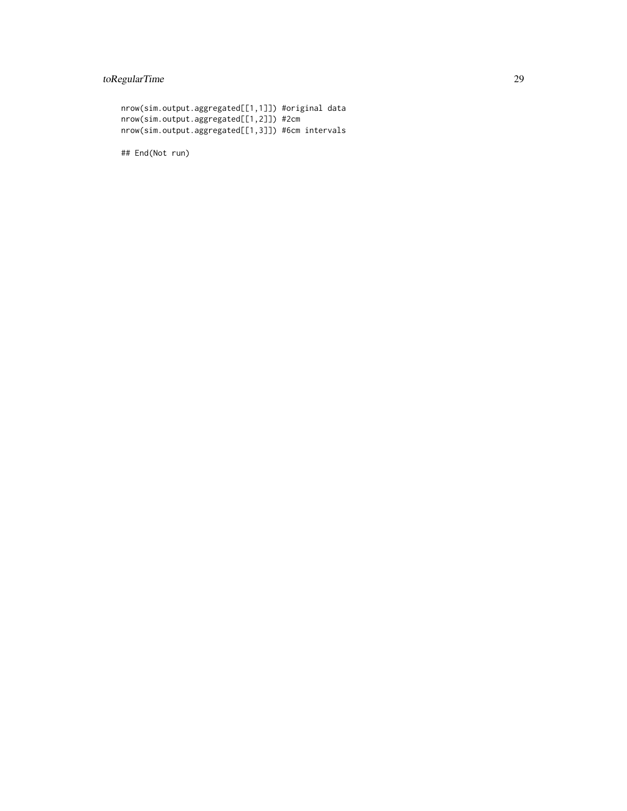# toRegularTime 29

```
nrow(sim.output.aggregated[[1,1]]) #original data
nrow(sim.output.aggregated[[1,2]]) #2cm
nrow(sim.output.aggregated[[1,3]]) #6cm intervals
```
## End(Not run)